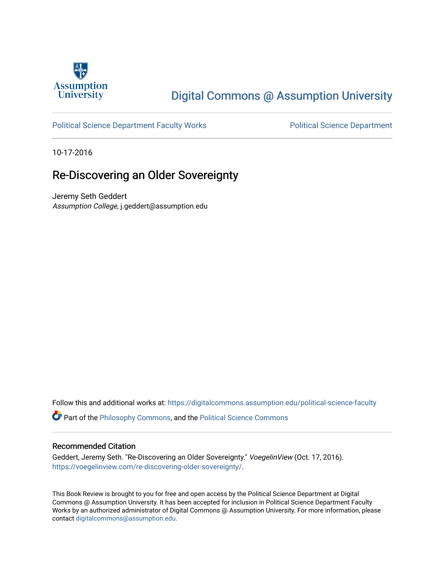

## [Digital Commons @ Assumption University](https://digitalcommons.assumption.edu/)

#### [Political Science Department Faculty Works](https://digitalcommons.assumption.edu/political-science-faculty) **Political Science Department**

10-17-2016

## Re-Discovering an Older Sovereignty

Jeremy Seth Geddert Assumption College, j.geddert@assumption.edu

Follow this and additional works at: [https://digitalcommons.assumption.edu/political-science-faculty](https://digitalcommons.assumption.edu/political-science-faculty?utm_source=digitalcommons.assumption.edu%2Fpolitical-science-faculty%2F32&utm_medium=PDF&utm_campaign=PDFCoverPages)

Part of the [Philosophy Commons,](http://network.bepress.com/hgg/discipline/525?utm_source=digitalcommons.assumption.edu%2Fpolitical-science-faculty%2F32&utm_medium=PDF&utm_campaign=PDFCoverPages) and the [Political Science Commons](http://network.bepress.com/hgg/discipline/386?utm_source=digitalcommons.assumption.edu%2Fpolitical-science-faculty%2F32&utm_medium=PDF&utm_campaign=PDFCoverPages) 

#### Recommended Citation

Geddert, Jeremy Seth. "Re-Discovering an Older Sovereignty." VoegelinView (Oct. 17, 2016). [https://voegelinview.com/re-discovering-older-sovereignty/.](https://voegelinview.com/re-discovering-older-sovereignty/)

This Book Review is brought to you for free and open access by the Political Science Department at Digital Commons @ Assumption University. It has been accepted for inclusion in Political Science Department Faculty Works by an authorized administrator of Digital Commons @ Assumption University. For more information, please contact [digitalcommons@assumption.edu.](mailto:digitalcommons@assumption.edu)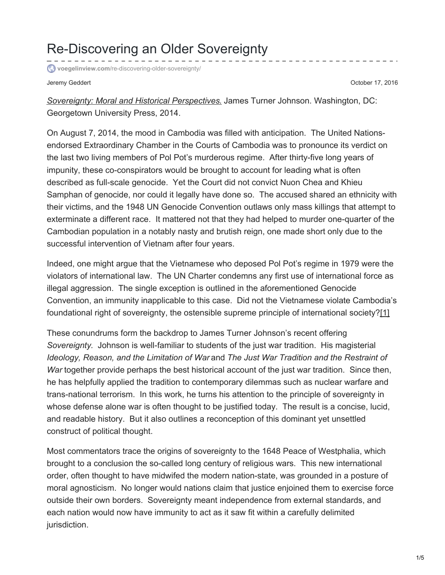# Re-Discovering an Older Sovereignty

**voegelinview.com**[/re-discovering-older-sovereignty/](https://voegelinview.com/re-discovering-older-sovereignty/)

Jeremy Geddert October 17, 2016

*Sovereignty: Moral and Historical [Perspectives](https://www.amazon.com/Sovereignty-Perspectives-James-Turner-Johnson/dp/1626160562/ref=sr_1_1?s=books&ie=UTF8&qid=1470536238&sr=1-1&keywords=Sovereignty%3A+Moral+and+Historical+Perspectives.)*. James Turner Johnson. Washington, DC: Georgetown University Press, 2014.

On August 7, 2014, the mood in Cambodia was filled with anticipation. The United Nationsendorsed Extraordinary Chamber in the Courts of Cambodia was to pronounce its verdict on the last two living members of Pol Pot's murderous regime. After thirty-five long years of impunity, these co-conspirators would be brought to account for leading what is often described as full-scale genocide. Yet the Court did not convict Nuon Chea and Khieu Samphan of genocide, nor could it legally have done so. The accused shared an ethnicity with their victims, and the 1948 UN Genocide Convention outlaws only mass killings that attempt to exterminate a different race. It mattered not that they had helped to murder one-quarter of the Cambodian population in a notably nasty and brutish reign, one made short only due to the successful intervention of Vietnam after four years.

Indeed, one might argue that the Vietnamese who deposed Pol Pot's regime in 1979 were the violators of international law. The UN Charter condemns any first use of international force as illegal aggression. The single exception is outlined in the aforementioned Genocide Convention, an immunity inapplicable to this case. Did not the Vietnamese violate Cambodia's foundational right of sovereignty, the ostensible supreme principle of international society[?\[1\]](https://voegelinview.com/re-discovering-older-sovereignty/#_edn1)

These conundrums form the backdrop to James Turner Johnson's recent offering *Sovereignty.* Johnson is well-familiar to students of the just war tradition. His magisterial *Ideology, Reason, and the Limitation of War* and *The Just War Tradition and the Restraint of War* together provide perhaps the best historical account of the just war tradition. Since then, he has helpfully applied the tradition to contemporary dilemmas such as nuclear warfare and trans-national terrorism. In this work, he turns his attention to the principle of sovereignty in whose defense alone war is often thought to be justified today. The result is a concise, lucid, and readable history. But it also outlines a reconception of this dominant yet unsettled construct of political thought.

Most commentators trace the origins of sovereignty to the 1648 Peace of Westphalia, which brought to a conclusion the so-called long century of religious wars. This new international order, often thought to have midwifed the modern nation-state, was grounded in a posture of moral agnosticism. No longer would nations claim that justice enjoined them to exercise force outside their own borders. Sovereignty meant independence from external standards, and each nation would now have immunity to act as it saw fit within a carefully delimited jurisdiction.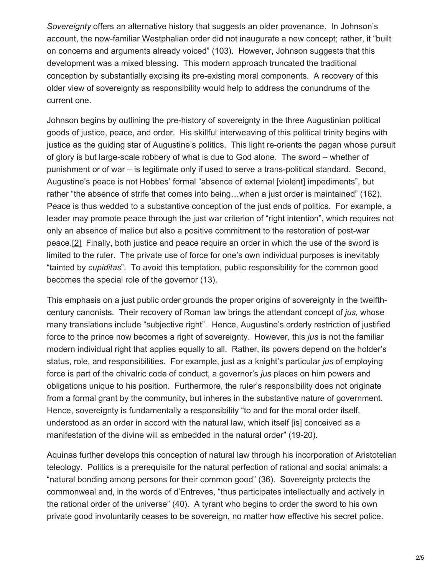*Sovereignty* offers an alternative history that suggests an older provenance. In Johnson's account, the now-familiar Westphalian order did not inaugurate a new concept; rather, it "built on concerns and arguments already voiced" (103). However, Johnson suggests that this development was a mixed blessing. This modern approach truncated the traditional conception by substantially excising its pre-existing moral components. A recovery of this older view of sovereignty as responsibility would help to address the conundrums of the current one.

Johnson begins by outlining the pre-history of sovereignty in the three Augustinian political goods of justice, peace, and order. His skillful interweaving of this political trinity begins with justice as the guiding star of Augustine's politics. This light re-orients the pagan whose pursuit of glory is but large-scale robbery of what is due to God alone. The sword – whether of punishment or of war – is legitimate only if used to serve a trans-political standard. Second, Augustine's peace is not Hobbes' formal "absence of external [violent] impediments", but rather "the absence of strife that comes into being…when a just order is maintained" (162). Peace is thus wedded to a substantive conception of the just ends of politics. For example, a leader may promote peace through the just war criterion of "right intention", which requires not only an absence of malice but also a positive commitment to the restoration of post-war peace[.\[2\]](https://voegelinview.com/re-discovering-older-sovereignty/#_edn2) Finally, both justice and peace require an order in which the use of the sword is limited to the ruler. The private use of force for one's own individual purposes is inevitably "tainted by *cupiditas*". To avoid this temptation, public responsibility for the common good becomes the special role of the governor (13).

This emphasis on a just public order grounds the proper origins of sovereignty in the twelfthcentury canonists. Their recovery of Roman law brings the attendant concept of *jus*, whose many translations include "subjective right". Hence, Augustine's orderly restriction of justified force to the prince now becomes a right of sovereignty. However, this *jus* is not the familiar modern individual right that applies equally to all. Rather, its powers depend on the holder's status, role, and responsibilities. For example, just as a knight's particular *jus* of employing force is part of the chivalric code of conduct, a governor's *jus* places on him powers and obligations unique to his position. Furthermore, the ruler's responsibility does not originate from a formal grant by the community, but inheres in the substantive nature of government. Hence, sovereignty is fundamentally a responsibility "to and for the moral order itself, understood as an order in accord with the natural law, which itself [is] conceived as a manifestation of the divine will as embedded in the natural order" (19-20).

Aquinas further develops this conception of natural law through his incorporation of Aristotelian teleology. Politics is a prerequisite for the natural perfection of rational and social animals: a "natural bonding among persons for their common good" (36). Sovereignty protects the commonweal and, in the words of d'Entreves, "thus participates intellectually and actively in the rational order of the universe" (40). A tyrant who begins to order the sword to his own private good involuntarily ceases to be sovereign, no matter how effective his secret police.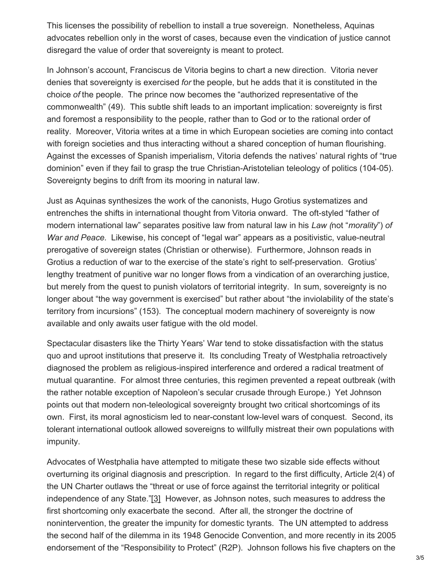This licenses the possibility of rebellion to install a true sovereign. Nonetheless, Aquinas advocates rebellion only in the worst of cases, because even the vindication of justice cannot disregard the value of order that sovereignty is meant to protect.

In Johnson's account, Franciscus de Vitoria begins to chart a new direction. Vitoria never denies that sovereignty is exercised *for* the people, but he adds that it is constituted in the choice *of* the people. The prince now becomes the "authorized representative of the commonwealth" (49). This subtle shift leads to an important implication: sovereignty is first and foremost a responsibility to the people, rather than to God or to the rational order of reality. Moreover, Vitoria writes at a time in which European societies are coming into contact with foreign societies and thus interacting without a shared conception of human flourishing. Against the excesses of Spanish imperialism, Vitoria defends the natives' natural rights of "true dominion" even if they fail to grasp the true Christian-Aristotelian teleology of politics (104-05). Sovereignty begins to drift from its mooring in natural law.

Just as Aquinas synthesizes the work of the canonists, Hugo Grotius systematizes and entrenches the shifts in international thought from Vitoria onward. The oft-styled "father of modern international law" separates positive law from natural law in his *Law (*not "*morality*") *of War and Peace.* Likewise, his concept of "legal war" appears as a positivistic, value-neutral prerogative of sovereign states (Christian or otherwise). Furthermore, Johnson reads in Grotius a reduction of war to the exercise of the state's right to self-preservation. Grotius' lengthy treatment of punitive war no longer flows from a vindication of an overarching justice, but merely from the quest to punish violators of territorial integrity. In sum, sovereignty is no longer about "the way government is exercised" but rather about "the inviolability of the state's territory from incursions" (153). The conceptual modern machinery of sovereignty is now available and only awaits user fatigue with the old model.

Spectacular disasters like the Thirty Years' War tend to stoke dissatisfaction with the status quo and uproot institutions that preserve it. Its concluding Treaty of Westphalia retroactively diagnosed the problem as religious-inspired interference and ordered a radical treatment of mutual quarantine. For almost three centuries, this regimen prevented a repeat outbreak (with the rather notable exception of Napoleon's secular crusade through Europe.) Yet Johnson points out that modern non-teleological sovereignty brought two critical shortcomings of its own. First, its moral agnosticism led to near-constant low-level wars of conquest. Second, its tolerant international outlook allowed sovereigns to willfully mistreat their own populations with impunity.

Advocates of Westphalia have attempted to mitigate these two sizable side effects without overturning its original diagnosis and prescription. In regard to the first difficulty, Article 2(4) of the UN Charter outlaws the "threat or use of force against the territorial integrity or political independence of any State.["\[3\]](https://voegelinview.com/re-discovering-older-sovereignty/#_edn3) However, as Johnson notes, such measures to address the first shortcoming only exacerbate the second. After all, the stronger the doctrine of nonintervention, the greater the impunity for domestic tyrants. The UN attempted to address the second half of the dilemma in its 1948 Genocide Convention, and more recently in its 2005 endorsement of the "Responsibility to Protect" (R2P). Johnson follows his five chapters on the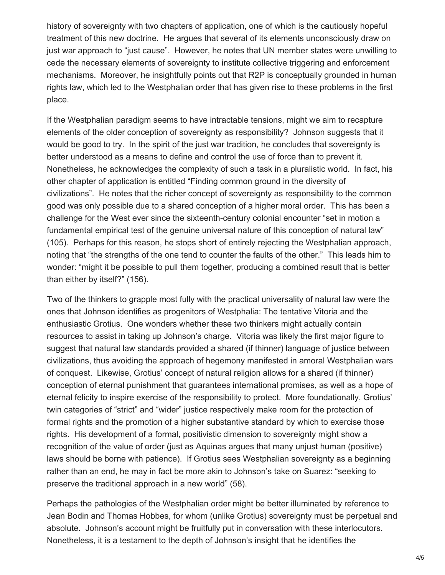history of sovereignty with two chapters of application, one of which is the cautiously hopeful treatment of this new doctrine. He argues that several of its elements unconsciously draw on just war approach to "just cause". However, he notes that UN member states were unwilling to cede the necessary elements of sovereignty to institute collective triggering and enforcement mechanisms. Moreover, he insightfully points out that R2P is conceptually grounded in human rights law, which led to the Westphalian order that has given rise to these problems in the first place.

If the Westphalian paradigm seems to have intractable tensions, might we aim to recapture elements of the older conception of sovereignty as responsibility? Johnson suggests that it would be good to try. In the spirit of the just war tradition, he concludes that sovereignty is better understood as a means to define and control the use of force than to prevent it. Nonetheless, he acknowledges the complexity of such a task in a pluralistic world. In fact, his other chapter of application is entitled "Finding common ground in the diversity of civilizations". He notes that the richer concept of sovereignty as responsibility to the common good was only possible due to a shared conception of a higher moral order. This has been a challenge for the West ever since the sixteenth-century colonial encounter "set in motion a fundamental empirical test of the genuine universal nature of this conception of natural law" (105). Perhaps for this reason, he stops short of entirely rejecting the Westphalian approach, noting that "the strengths of the one tend to counter the faults of the other." This leads him to wonder: "might it be possible to pull them together, producing a combined result that is better than either by itself?" (156).

Two of the thinkers to grapple most fully with the practical universality of natural law were the ones that Johnson identifies as progenitors of Westphalia: The tentative Vitoria and the enthusiastic Grotius. One wonders whether these two thinkers might actually contain resources to assist in taking up Johnson's charge. Vitoria was likely the first major figure to suggest that natural law standards provided a shared (if thinner) language of justice between civilizations, thus avoiding the approach of hegemony manifested in amoral Westphalian wars of conquest. Likewise, Grotius' concept of natural religion allows for a shared (if thinner) conception of eternal punishment that guarantees international promises, as well as a hope of eternal felicity to inspire exercise of the responsibility to protect. More foundationally, Grotius' twin categories of "strict" and "wider" justice respectively make room for the protection of formal rights and the promotion of a higher substantive standard by which to exercise those rights. His development of a formal, positivistic dimension to sovereignty might show a recognition of the value of order (just as Aquinas argues that many unjust human (positive) laws should be borne with patience). If Grotius sees Westphalian sovereignty as a beginning rather than an end, he may in fact be more akin to Johnson's take on Suarez: "seeking to preserve the traditional approach in a new world" (58).

Perhaps the pathologies of the Westphalian order might be better illuminated by reference to Jean Bodin and Thomas Hobbes, for whom (unlike Grotius) sovereignty must be perpetual and absolute. Johnson's account might be fruitfully put in conversation with these interlocutors. Nonetheless, it is a testament to the depth of Johnson's insight that he identifies the